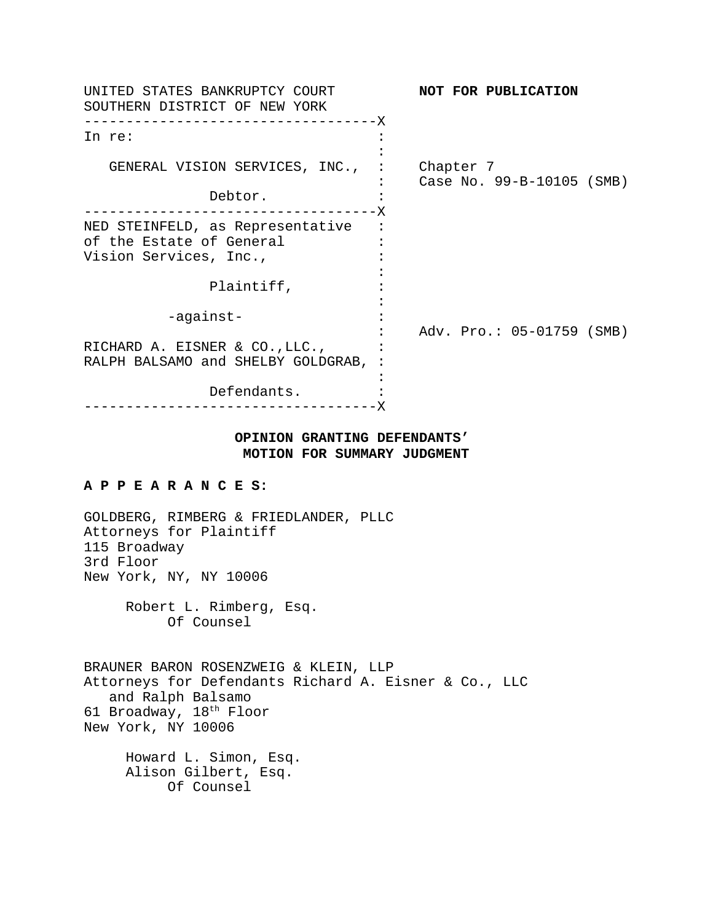| UNITED STATES BANKRUPTCY COURT<br>SOUTHERN DISTRICT OF NEW YORK      | NOT FOR PUBLICATION |                           |
|----------------------------------------------------------------------|---------------------|---------------------------|
| -------------------------------X<br>In re:                           |                     |                           |
| GENERAL VISION SERVICES, INC., : Chapter 7                           |                     | Case No. 99-B-10105 (SMB) |
| Debtor.                                                              |                     |                           |
| NED STEINFELD, as Representative<br>of the Estate of General         |                     |                           |
| Vision Services, Inc.,                                               |                     |                           |
| Plaintiff,                                                           |                     |                           |
| -against-                                                            |                     | Adv. Pro.: 05-01759 (SMB) |
| RICHARD A. EISNER & CO., LLC.,<br>RALPH BALSAMO and SHELBY GOLDGRAB, |                     |                           |
|                                                                      |                     |                           |
| Defendants.                                                          |                     |                           |

# **OPINION GRANTING DEFENDANTS' MOTION FOR SUMMARY JUDGMENT**

#### **A P P E A R A N C E S:**

GOLDBERG, RIMBERG & FRIEDLANDER, PLLC Attorneys for Plaintiff 115 Broadway 3rd Floor New York, NY, NY 10006

> Robert L. Rimberg, Esq. Of Counsel

BRAUNER BARON ROSENZWEIG & KLEIN, LLP Attorneys for Defendants Richard A. Eisner & Co., LLC and Ralph Balsamo 61 Broadway, 18th Floor New York, NY 10006

Howard L. Simon, Esq. Alison Gilbert, Esq. Of Counsel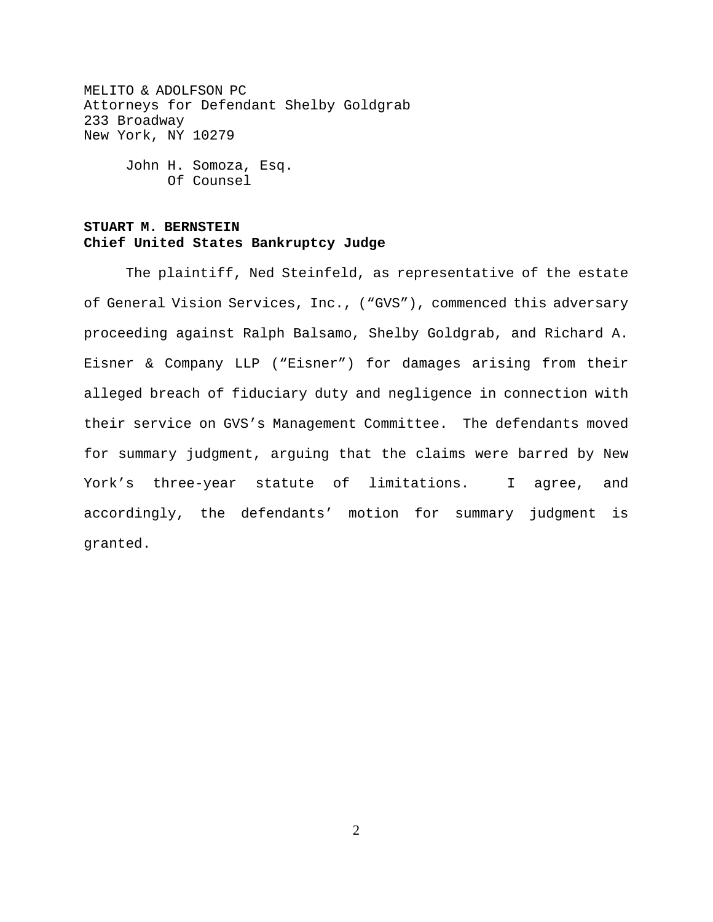MELITO & ADOLFSON PC Attorneys for Defendant Shelby Goldgrab 233 Broadway New York, NY 10279

> John H. Somoza, Esq. Of Counsel

## **STUART M. BERNSTEIN Chief United States Bankruptcy Judge**

The plaintiff, Ned Steinfeld, as representative of the estate of General Vision Services, Inc., ("GVS"), commenced this adversary proceeding against Ralph Balsamo, Shelby Goldgrab, and Richard A. Eisner & Company LLP ("Eisner") for damages arising from their alleged breach of fiduciary duty and negligence in connection with their service on GVS's Management Committee. The defendants moved for summary judgment, arguing that the claims were barred by New York's three-year statute of limitations. I agree, and accordingly, the defendants' motion for summary judgment is granted.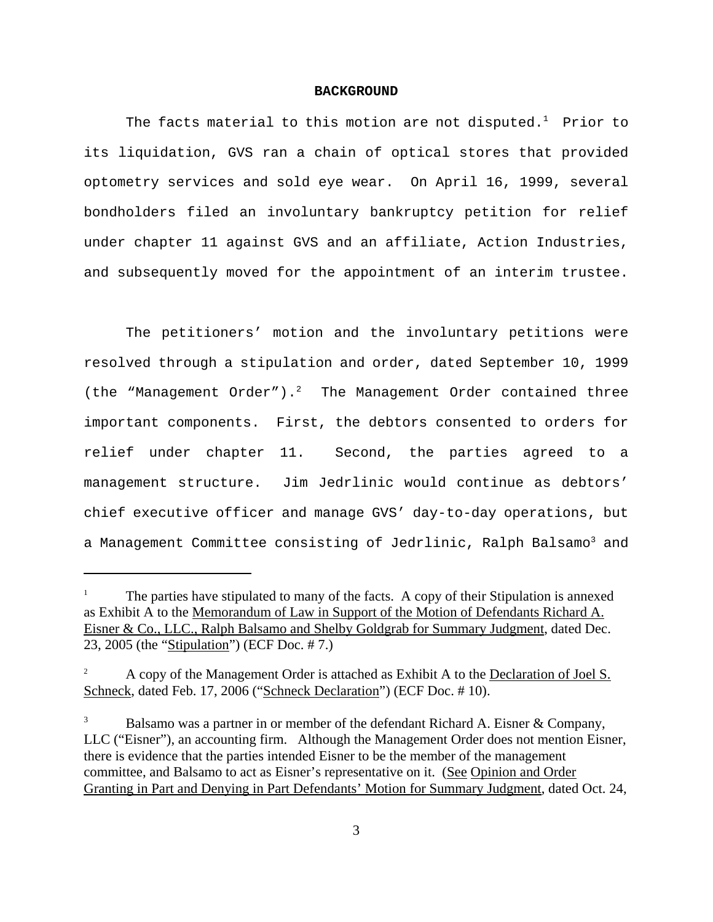#### **BACKGROUND**

The facts material to this motion are not disputed. $^{\rm 1}$  Prior to its liquidation, GVS ran a chain of optical stores that provided optometry services and sold eye wear. On April 16, 1999, several bondholders filed an involuntary bankruptcy petition for relief under chapter 11 against GVS and an affiliate, Action Industries, and subsequently moved for the appointment of an interim trustee.

The petitioners' motion and the involuntary petitions were resolved through a stipulation and order, dated September 10, 1999 (the "Management Order").<sup>2</sup> The Management Order contained three important components. First, the debtors consented to orders for relief under chapter 11. Second, the parties agreed to a management structure. Jim Jedrlinic would continue as debtors' chief executive officer and manage GVS' day-to-day operations, but a Management Committee consisting of Jedrlinic, Ralph Balsamo<sup>3</sup> and

<sup>1</sup> The parties have stipulated to many of the facts. A copy of their Stipulation is annexed as Exhibit A to the Memorandum of Law in Support of the Motion of Defendants Richard A. Eisner & Co., LLC., Ralph Balsamo and Shelby Goldgrab for Summary Judgment, dated Dec. 23, 2005 (the "Stipulation") (ECF Doc. # 7.)

<sup>&</sup>lt;sup>2</sup> A copy of the Management Order is attached as Exhibit A to the Declaration of Joel S. Schneck, dated Feb. 17, 2006 ("Schneck Declaration") (ECF Doc. # 10).

Balsamo was a partner in or member of the defendant Richard A. Eisner & Company, LLC ("Eisner"), an accounting firm. Although the Management Order does not mention Eisner, there is evidence that the parties intended Eisner to be the member of the management committee, and Balsamo to act as Eisner's representative on it. (See Opinion and Order Granting in Part and Denying in Part Defendants' Motion for Summary Judgment, dated Oct. 24,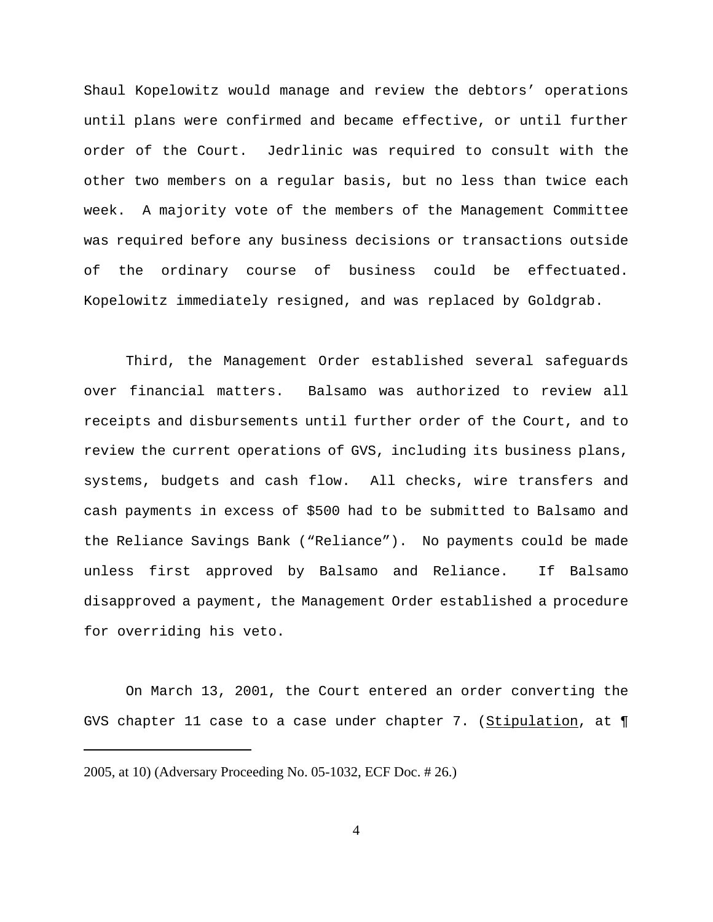Shaul Kopelowitz would manage and review the debtors' operations until plans were confirmed and became effective, or until further order of the Court. Jedrlinic was required to consult with the other two members on a regular basis, but no less than twice each week. A majority vote of the members of the Management Committee was required before any business decisions or transactions outside of the ordinary course of business could be effectuated. Kopelowitz immediately resigned, and was replaced by Goldgrab.

Third, the Management Order established several safeguards over financial matters. Balsamo was authorized to review all receipts and disbursements until further order of the Court, and to review the current operations of GVS, including its business plans, systems, budgets and cash flow. All checks, wire transfers and cash payments in excess of \$500 had to be submitted to Balsamo and the Reliance Savings Bank ("Reliance"). No payments could be made unless first approved by Balsamo and Reliance. If Balsamo disapproved a payment, the Management Order established a procedure for overriding his veto.

On March 13, 2001, the Court entered an order converting the GVS chapter 11 case to a case under chapter 7. (Stipulation, at  $\P$ 

2005, at 10) (Adversary Proceeding No. 05-1032, ECF Doc. # 26.)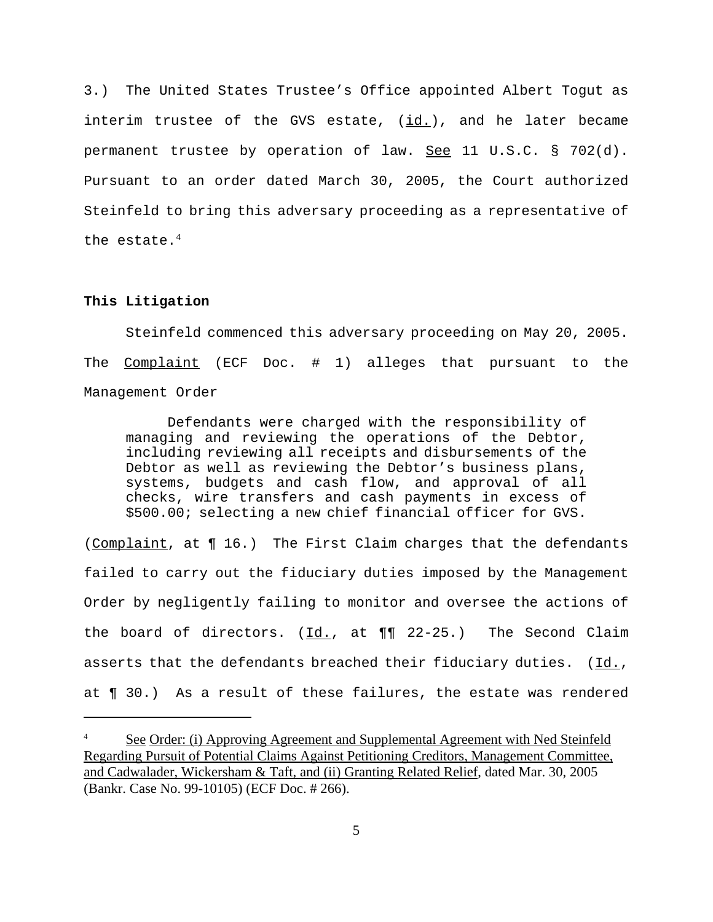3.) The United States Trustee's Office appointed Albert Togut as interim trustee of the GVS estate,  $(id.)$ , and he later became permanent trustee by operation of law.  $\frac{See}{}$  11 U.S.C. § 702(d). Pursuant to an order dated March 30, 2005, the Court authorized Steinfeld to bring this adversary proceeding as a representative of the estate.4

### **This Litigation**

Steinfeld commenced this adversary proceeding on May 20, 2005. The Complaint (ECF Doc. # 1) alleges that pursuant to the Management Order

Defendants were charged with the responsibility of managing and reviewing the operations of the Debtor, including reviewing all receipts and disbursements of the Debtor as well as reviewing the Debtor's business plans, systems, budgets and cash flow, and approval of all checks, wire transfers and cash payments in excess of \$500.00; selecting a new chief financial officer for GVS.

(Complaint, at  $\P$  16.) The First Claim charges that the defendants failed to carry out the fiduciary duties imposed by the Management Order by negligently failing to monitor and oversee the actions of the board of directors.  $(\underline{Id.}, \underline{at} \underline{\P\P} \underline{22-25.})$  The Second Claim asserts that the defendants breached their fiduciary duties.  $(Id.,$ at ¶ 30.) As a result of these failures, the estate was rendered

See Order: (i) Approving Agreement and Supplemental Agreement with Ned Steinfeld Regarding Pursuit of Potential Claims Against Petitioning Creditors, Management Committee, and Cadwalader, Wickersham & Taft, and (ii) Granting Related Relief, dated Mar. 30, 2005 (Bankr. Case No. 99-10105) (ECF Doc. # 266).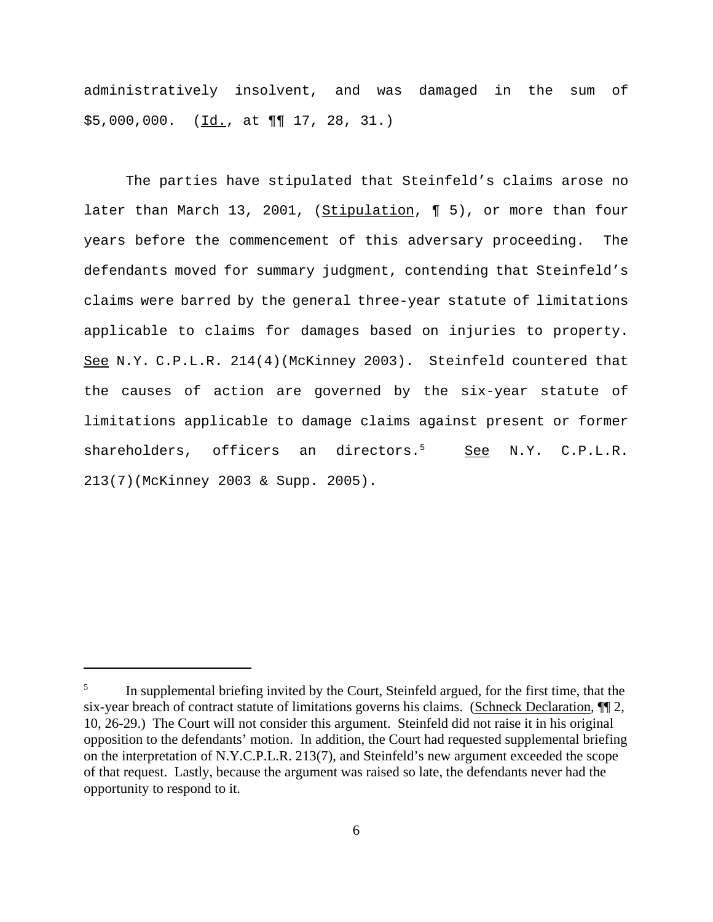administratively insolvent, and was damaged in the sum of  $$5,000,000.$  ( $\underline{Id.}$ , at  $\P\P$  17, 28, 31.)

The parties have stipulated that Steinfeld's claims arose no later than March 13, 2001, (Stipulation, ¶ 5), or more than four years before the commencement of this adversary proceeding. The defendants moved for summary judgment, contending that Steinfeld's claims were barred by the general three-year statute of limitations applicable to claims for damages based on injuries to property. See N.Y. C.P.L.R. 214(4)(McKinney 2003). Steinfeld countered that the causes of action are governed by the six-year statute of limitations applicable to damage claims against present or former shareholders, officers an directors.<sup>5</sup> See N.Y. C.P.L.R. 213(7)(McKinney 2003 & Supp. 2005).

<sup>5</sup> In supplemental briefing invited by the Court, Steinfeld argued, for the first time, that the six-year breach of contract statute of limitations governs his claims. (Schneck Declaration,  $\P$ ) 2, 10, 26-29.) The Court will not consider this argument. Steinfeld did not raise it in his original opposition to the defendants' motion. In addition, the Court had requested supplemental briefing on the interpretation of N.Y.C.P.L.R. 213(7), and Steinfeld's new argument exceeded the scope of that request. Lastly, because the argument was raised so late, the defendants never had the opportunity to respond to it.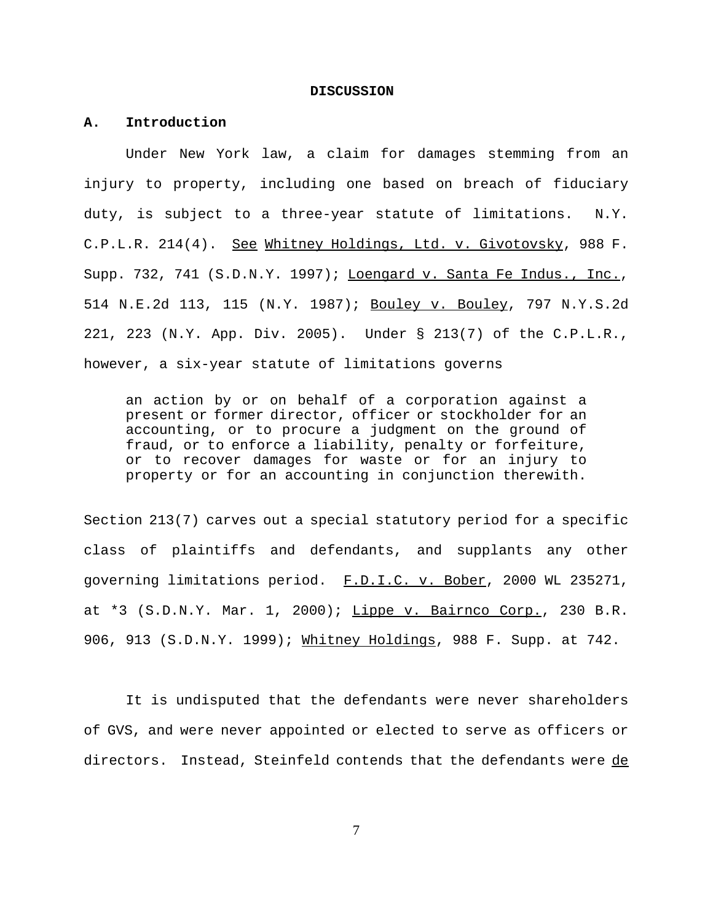#### **DISCUSSION**

#### **A. Introduction**

Under New York law, a claim for damages stemming from an injury to property, including one based on breach of fiduciary duty, is subject to a three-year statute of limitations. N.Y. C.P.L.R. 214(4). See Whitney Holdings, Ltd. v. Givotovsky, 988 F. Supp. 732, 741 (S.D.N.Y. 1997); Loengard v. Santa Fe Indus., Inc., 514 N.E.2d 113, 115 (N.Y. 1987); Bouley v. Bouley, 797 N.Y.S.2d 221, 223 (N.Y. App. Div. 2005). Under § 213(7) of the C.P.L.R., however, a six-year statute of limitations governs

an action by or on behalf of a corporation against a present or former director, officer or stockholder for an accounting, or to procure a judgment on the ground of fraud, or to enforce a liability, penalty or forfeiture, or to recover damages for waste or for an injury to property or for an accounting in conjunction therewith.

Section 213(7) carves out a special statutory period for a specific class of plaintiffs and defendants, and supplants any other governing limitations period. F.D.I.C. v. Bober, 2000 WL 235271, at \*3 (S.D.N.Y. Mar. 1, 2000); Lippe v. Bairnco Corp., 230 B.R. 906, 913 (S.D.N.Y. 1999); Whitney Holdings, 988 F. Supp. at 742.

It is undisputed that the defendants were never shareholders of GVS, and were never appointed or elected to serve as officers or directors. Instead, Steinfeld contends that the defendants were de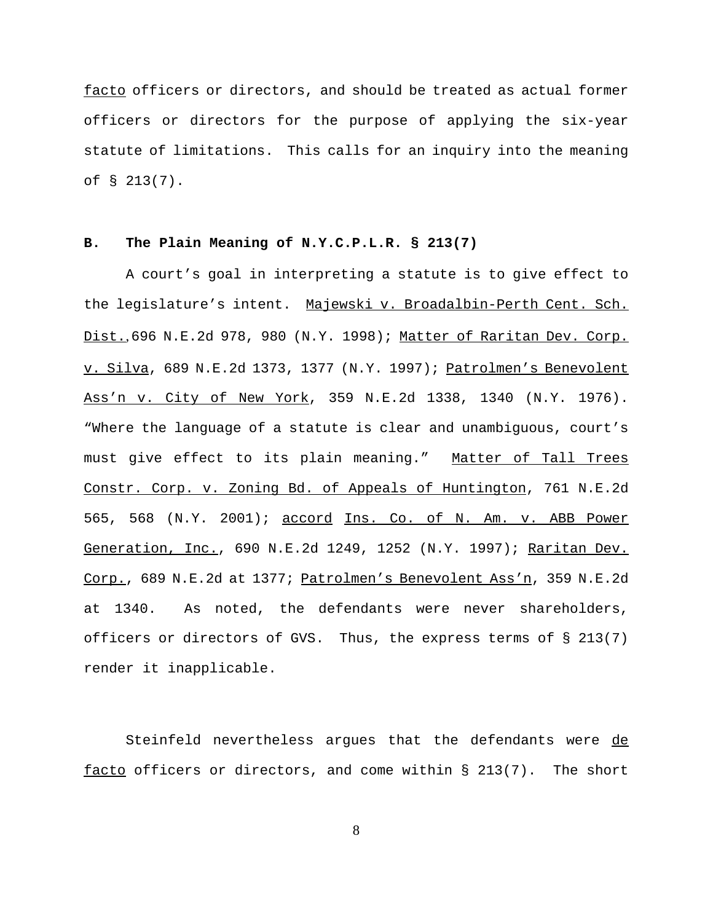facto officers or directors, and should be treated as actual former officers or directors for the purpose of applying the six-year statute of limitations. This calls for an inquiry into the meaning of § 213(7).

#### **B. The Plain Meaning of N.Y.C.P.L.R. § 213(7)**

A court's goal in interpreting a statute is to give effect to the legislature's intent. Majewski v. Broadalbin-Perth Cent. Sch. Dist., 696 N.E.2d 978, 980 (N.Y. 1998); Matter of Raritan Dev. Corp. v. Silva, 689 N.E.2d 1373, 1377 (N.Y. 1997); Patrolmen's Benevolent Ass'n v. City of New York, 359 N.E.2d 1338, 1340 (N.Y. 1976). "Where the language of a statute is clear and unambiguous, court's must give effect to its plain meaning." Matter of Tall Trees Constr. Corp. v. Zoning Bd. of Appeals of Huntington, 761 N.E.2d 565, 568 (N.Y. 2001); accord Ins. Co. of N. Am. v. ABB Power Generation, Inc., 690 N.E.2d 1249, 1252 (N.Y. 1997); Raritan Dev. Corp., 689 N.E.2d at 1377; Patrolmen's Benevolent Ass'n, 359 N.E.2d at 1340. As noted, the defendants were never shareholders, officers or directors of GVS. Thus, the express terms of § 213(7) render it inapplicable.

Steinfeld nevertheless argues that the defendants were de facto officers or directors, and come within  $\S$  213(7). The short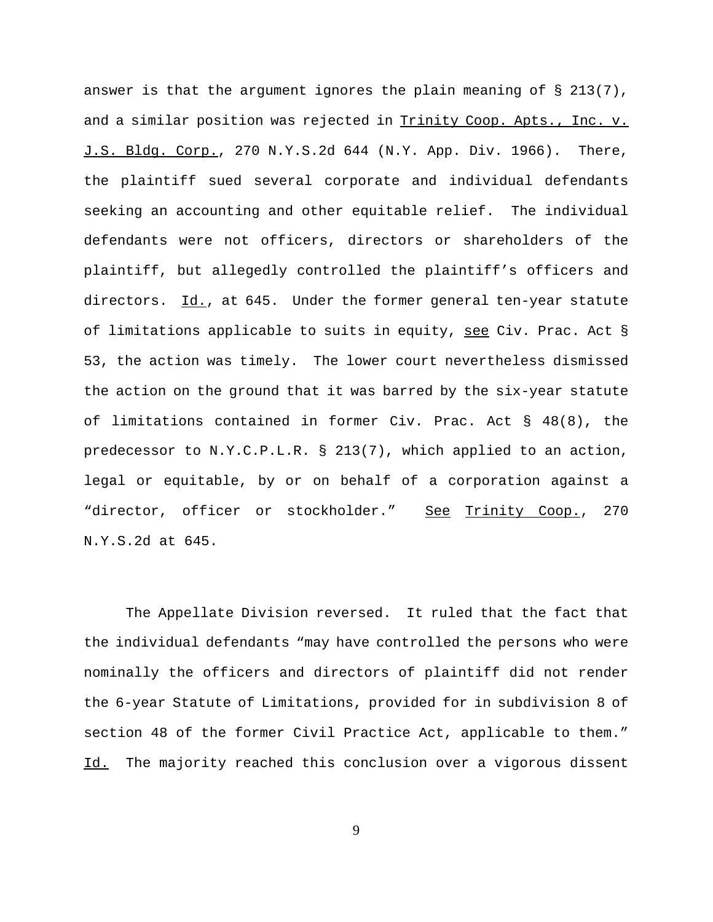answer is that the argument ignores the plain meaning of  $\S$  213(7), and a similar position was rejected in Trinity Coop. Apts., Inc. v. J.S. Bldg. Corp., 270 N.Y.S.2d 644 (N.Y. App. Div. 1966). There, the plaintiff sued several corporate and individual defendants seeking an accounting and other equitable relief. The individual defendants were not officers, directors or shareholders of the plaintiff, but allegedly controlled the plaintiff's officers and directors. Id., at 645. Under the former general ten-year statute of limitations applicable to suits in equity, see Civ. Prac. Act § 53, the action was timely. The lower court nevertheless dismissed the action on the ground that it was barred by the six-year statute of limitations contained in former Civ. Prac. Act § 48(8), the predecessor to N.Y.C.P.L.R. § 213(7), which applied to an action, legal or equitable, by or on behalf of a corporation against a "director, officer or stockholder." See Trinity Coop., 270 N.Y.S.2d at 645.

The Appellate Division reversed. It ruled that the fact that the individual defendants "may have controlled the persons who were nominally the officers and directors of plaintiff did not render the 6-year Statute of Limitations, provided for in subdivision 8 of section 48 of the former Civil Practice Act, applicable to them." Id. The majority reached this conclusion over a vigorous dissent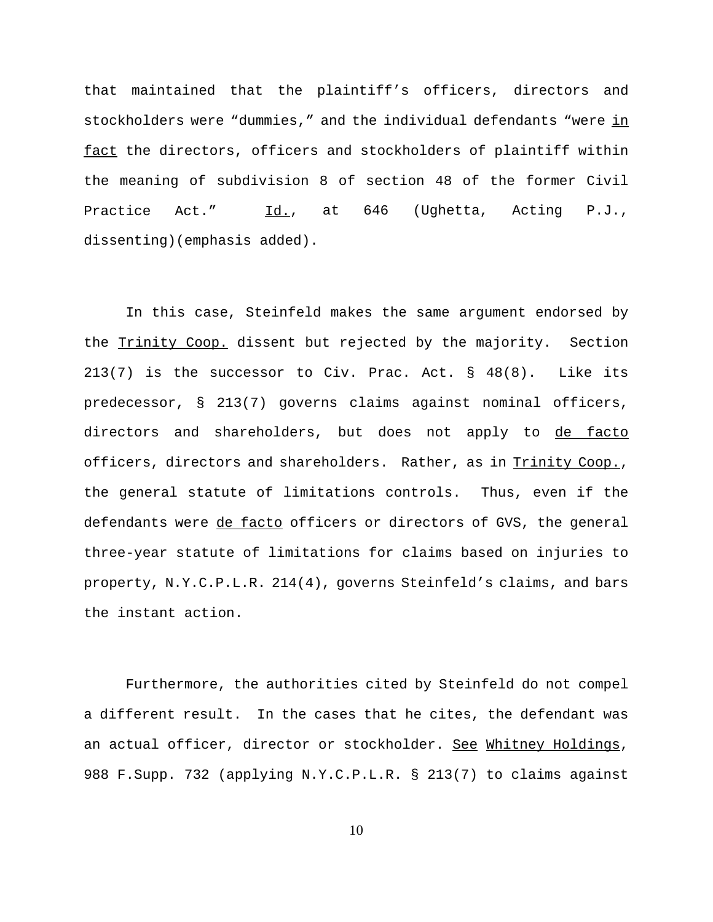that maintained that the plaintiff's officers, directors and stockholders were "dummies," and the individual defendants "were in fact the directors, officers and stockholders of plaintiff within the meaning of subdivision 8 of section 48 of the former Civil Practice Act." Id., at 646 (Ughetta, Acting P.J., dissenting)(emphasis added).

In this case, Steinfeld makes the same argument endorsed by the Trinity Coop. dissent but rejected by the majority. Section 213(7) is the successor to Civ. Prac. Act. § 48(8). Like its predecessor, § 213(7) governs claims against nominal officers, directors and shareholders, but does not apply to de facto officers, directors and shareholders. Rather, as in Trinity Coop., the general statute of limitations controls. Thus, even if the defendants were de facto officers or directors of GVS, the general three-year statute of limitations for claims based on injuries to property, N.Y.C.P.L.R. 214(4), governs Steinfeld's claims, and bars the instant action.

Furthermore, the authorities cited by Steinfeld do not compel a different result. In the cases that he cites, the defendant was an actual officer, director or stockholder. See Whitney Holdings, 988 F.Supp. 732 (applying N.Y.C.P.L.R. § 213(7) to claims against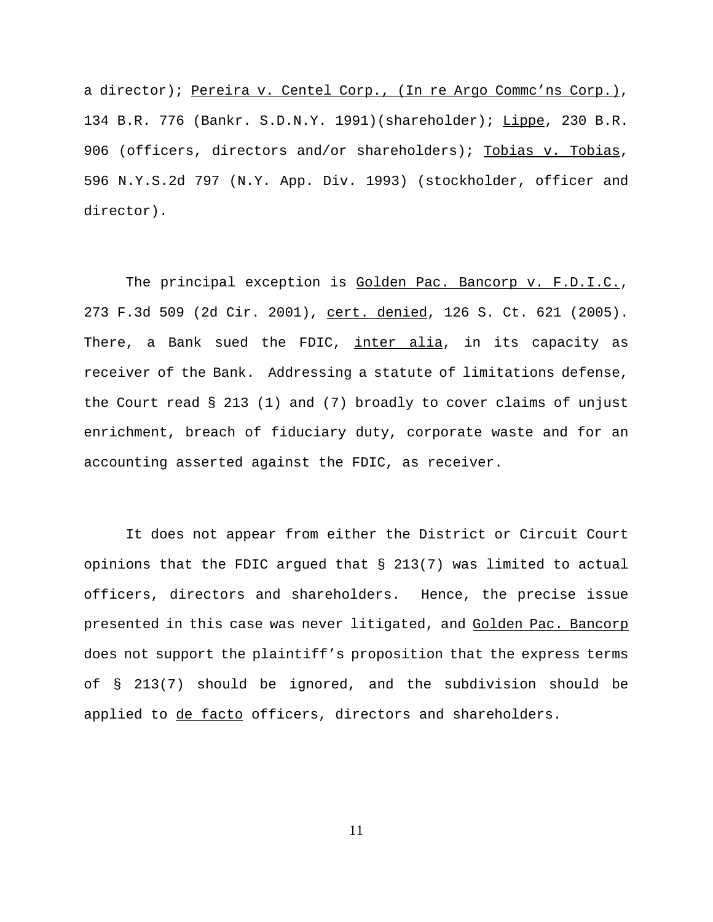a director); Pereira v. Centel Corp., (In re Argo Commc'ns Corp.), 134 B.R. 776 (Bankr. S.D.N.Y. 1991)(shareholder); Lippe, 230 B.R. 906 (officers, directors and/or shareholders); Tobias v. Tobias, 596 N.Y.S.2d 797 (N.Y. App. Div. 1993) (stockholder, officer and director).

The principal exception is Golden Pac. Bancorp v. F.D.I.C., 273 F.3d 509 (2d Cir. 2001), cert. denied, 126 S. Ct. 621 (2005). There, a Bank sued the FDIC, inter alia, in its capacity as receiver of the Bank. Addressing a statute of limitations defense, the Court read  $\S$  213 (1) and (7) broadly to cover claims of unjust enrichment, breach of fiduciary duty, corporate waste and for an accounting asserted against the FDIC, as receiver.

It does not appear from either the District or Circuit Court opinions that the FDIC argued that § 213(7) was limited to actual officers, directors and shareholders. Hence, the precise issue presented in this case was never litigated, and Golden Pac. Bancorp does not support the plaintiff's proposition that the express terms of § 213(7) should be ignored, and the subdivision should be applied to de facto officers, directors and shareholders.